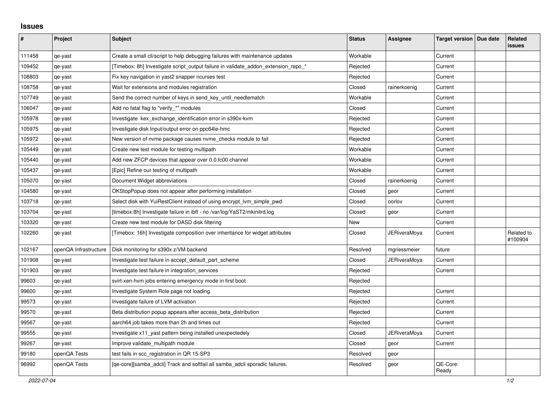## **Issues**

| ∦      | Project               | <b>Subject</b>                                                                     | <b>Status</b> | <b>Assignee</b> | Target version   Due date | Related<br>issues     |
|--------|-----------------------|------------------------------------------------------------------------------------|---------------|-----------------|---------------------------|-----------------------|
| 111458 | qe-yast               | Create a small cli/script to help debugging failures with maintenance updates      | Workable      |                 | Current                   |                       |
| 109452 | qe-yast               | [Timebox: 8h] Investigate script_output failure in validate_addon_extension_repo_* | Rejected      |                 | Current                   |                       |
| 108803 | qe-yast               | Fix key navigation in yast2 snapper ncurses test                                   | Rejected      |                 | Current                   |                       |
| 108758 | qe-yast               | Wait for extensions and modules registration                                       | Closed        | rainerkoenig    | Current                   |                       |
| 107749 | qe-yast               | Send the correct number of keys in send key until needlematch                      | Workable      |                 | Current                   |                       |
| 106047 | qe-yast               | Add no fatal flag to "verify_*" modules                                            | Closed        |                 | Current                   |                       |
| 105978 | qe-yast               | Investigate kex exchange identification error in s390x-kvm                         | Rejected      |                 | Current                   |                       |
| 105975 | qe-yast               | Investigate disk Input/output error on ppc64le-hmc                                 | Rejected      |                 | Current                   |                       |
| 105972 | qe-yast               | New version of nvme package causes nvme_checks module to fail                      | Rejected      |                 | Current                   |                       |
| 105449 | qe-yast               | Create new test module for testing multipath                                       | Workable      |                 | Current                   |                       |
| 105440 | qe-yast               | Add new ZFCP devices that appear over 0.0.fc00 channel                             | Workable      |                 | Current                   |                       |
| 105437 | qe-yast               | [Epic] Refine our testing of multipath                                             | Workable      |                 | Current                   |                       |
| 105070 | qe-yast               | Document Widget abbreviations                                                      | Closed        | rainerkoenig    | Current                   |                       |
| 104580 | qe-yast               | OKStopPopup does not appear after performing installation                          | Closed        | geor            | Current                   |                       |
| 103718 | qe-yast               | Select disk with YuiRestClient instead of using encrypt_lvm_simple_pwd             | Closed        | oorlov          | Current                   |                       |
| 103704 | qe-yast               | [timebox:8h] Investigate failure in ibft - no /var/log/YaST2/mkinitrd.log          | Closed        | geor            | Current                   |                       |
| 103320 | qe-yast               | Create new test module for DASD disk filtering                                     | New           |                 | Current                   |                       |
| 102260 | qe-yast               | [Timebox: 16h] Investigate composition over inheritance for widget attributes      | Closed        | JERiveraMoya    | Current                   | Related to<br>#100904 |
| 102167 | openQA Infrastructure | Disk monitoring for s390x z/VM backend                                             | Resolved      | mgriessmeier    | future                    |                       |
| 101908 | qe-yast               | Investigate test failure in accept_default_part_scheme                             | Closed        | JERiveraMoya    | Current                   |                       |
| 101903 | qe-yast               | Investigate test failure in integration services                                   | Rejected      |                 | Current                   |                       |
| 99603  | qe-yast               | svirt-xen-hvm jobs entering emergency mode in first boot                           | Rejected      |                 |                           |                       |
| 99600  | qe-yast               | Investigate System Role page not loading                                           | Rejected      |                 | Current                   |                       |
| 99573  | qe-yast               | Investigate failure of LVM activation                                              | Rejected      |                 | Current                   |                       |
| 99570  | qe-yast               | Beta distribution popup appears after access_beta_distribution                     | Rejected      |                 | Current                   |                       |
| 99567  | qe-yast               | aarch64 job takes more than 2h and times out                                       | Rejected      |                 | Current                   |                       |
| 99555  | qe-yast               | Investigate x11 yast pattern being installed unexpectedely                         | Closed        | JERiveraMoya    | Current                   |                       |
| 99267  | qe-yast               | Improve validate multipath module                                                  | Closed        | geor            | Current                   |                       |
| 99180  | openQA Tests          | test fails in scc_registration in QR 15-SP3                                        | Resolved      | geor            |                           |                       |
| 96992  | openQA Tests          | [ge-core][samba adcli] Track and softfail all samba adcli sporadic failures.       | Resolved      | geor            | QE-Core:<br>Ready         |                       |